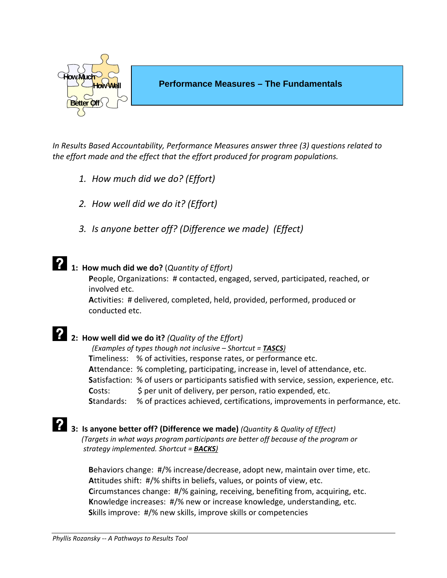

*In Results Based Accountability, Performance Measures answer three (3) questions related to the effort made and the effect that the effort produced for program populations.* 

- *1. How much did we do? (Effort)*
- *2. How well did we do it? (Effort)*
- *3. Is anyone better off? (Difference we made) (Effect)*

### **1: How much did we do?** (*Quantity of Effort)*

 **P**eople, Organizations: # contacted, engaged, served, participated, reached, or involved etc.

 **A**ctivities: # delivered, completed, held, provided, performed, produced or conducted etc.

# **2: How well did we do it?** *(Quality of the Effort)*

*(Examples of types though not inclusive – Shortcut = TASCS)* **Timeliness:** % of activities, response rates, or performance etc.  **A**ttendance: % completing, participating, increase in, level of attendance, etc.  **S**atisfaction: % of users or participants satisfied with service, session, experience, etc. **Costs:**  $\oint$  per unit of delivery, per person, ratio expended, etc. **Standards:** % of practices achieved, certifications, improvements in performance, etc.

# **3: Is anyone better off? (Difference we made)** *(Quantity & Quality of Effect)*

 *(Targets in what ways program participants are better off because of the program or strategy implemented. Shortcut = BACKS)* 

 **B**ehaviors change: #/% increase/decrease, adopt new, maintain over time, etc.  **A**ttitudes shift: #/% shifts in beliefs, values, or points of view, etc.  **C**ircumstances change: #/% gaining, receiving, benefiting from, acquiring, etc.  **K**nowledge increases: #/% new or increase knowledge, understanding, etc.  **S**kills improve: #/% new skills, improve skills or competencies